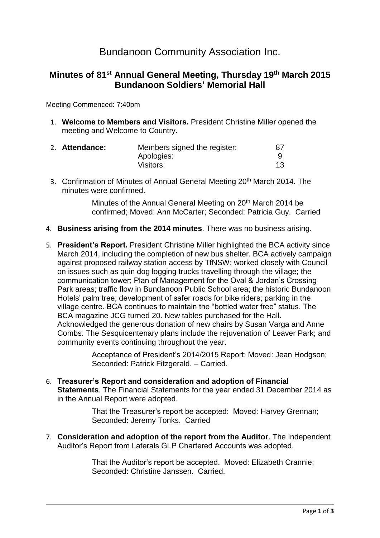# Bundanoon Community Association Inc.

### **Minutes of 81st Annual General Meeting, Thursday 19th March 2015 Bundanoon Soldiers' Memorial Hall**

Meeting Commenced: 7:40pm

1. **Welcome to Members and Visitors.** President Christine Miller opened the meeting and Welcome to Country.

| 2. Attendance: | Members signed the register: | -87 |
|----------------|------------------------------|-----|
|                | Apologies:                   |     |
|                | Visitors:                    |     |

3. Confirmation of Minutes of Annual General Meeting 20<sup>th</sup> March 2014. The minutes were confirmed.

> Minutes of the Annual General Meeting on 20<sup>th</sup> March 2014 be confirmed; Moved: Ann McCarter; Seconded: Patricia Guy. Carried

- 4. **Business arising from the 2014 minutes**. There was no business arising.
- 5. **President's Report.** President Christine Miller highlighted the BCA activity since March 2014, including the completion of new bus shelter. BCA actively campaign against proposed railway station access by TfNSW; worked closely with Council on issues such as quin dog logging trucks travelling through the village; the communication tower; Plan of Management for the Oval & Jordan's Crossing Park areas; traffic flow in Bundanoon Public School area; the historic Bundanoon Hotels' palm tree; development of safer roads for bike riders; parking in the village centre. BCA continues to maintain the "bottled water free" status. The BCA magazine JCG turned 20. New tables purchased for the Hall. Acknowledged the generous donation of new chairs by Susan Varga and Anne Combs. The Sesquicentenary plans include the rejuvenation of Leaver Park; and community events continuing throughout the year.

Acceptance of President's 2014/2015 Report: Moved: Jean Hodgson; Seconded: Patrick Fitzgerald. – Carried.

6. **Treasurer's Report and consideration and adoption of Financial Statements**. The Financial Statements for the year ended 31 December 2014 as in the Annual Report were adopted.

> That the Treasurer's report be accepted: Moved: Harvey Grennan; Seconded: Jeremy Tonks. Carried

7. **Consideration and adoption of the report from the Auditor**. The Independent Auditor's Report from Laterals GLP Chartered Accounts was adopted.

> That the Auditor's report be accepted. Moved: Elizabeth Crannie; Seconded: Christine Janssen. Carried.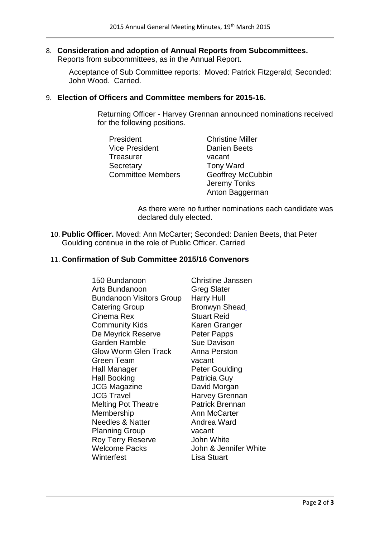## 8. **Consideration and adoption of Annual Reports from Subcommittees.**

Reports from subcommittees, as in the Annual Report.

Acceptance of Sub Committee reports: Moved: Patrick Fitzgerald; Seconded: John Wood. Carried.

### 9. **Election of Officers and Committee members for 2015-16.**

Returning Officer - Harvey Grennan announced nominations received for the following positions.

| President                | <b>Christine Miller</b>  |  |
|--------------------------|--------------------------|--|
| <b>Vice President</b>    | <b>Danien Beets</b>      |  |
| <b>Treasurer</b>         | vacant                   |  |
| Secretary                | <b>Tony Ward</b>         |  |
| <b>Committee Members</b> | <b>Geoffrey McCubbin</b> |  |
|                          | Jeremy Tonks             |  |
|                          | Anton Baggerman          |  |

As there were no further nominations each candidate was declared duly elected.

10. **Public Officer.** Moved: Ann McCarter; Seconded: Danien Beets, that Peter Goulding continue in the role of Public Officer. Carried

### 11. **Confirmation of Sub Committee 2015/16 Convenors**

150 Bundanoon Christine Janssen Arts Bundanoon Greg Slater Bundanoon Visitors Group Harry Hull Catering Group Bronwyn Shead Cinema Rex Stuart Reid **Community Kids Karen Granger** De Meyrick Reserve Peter Papps Garden Ramble Sue Davison Glow Worm Glen Track Anna Perston Green Team vacant Hall Manager Peter Goulding Hall Booking **Patricia Guy** JCG Magazine David Morgan JCG Travel **Harvey Grennan** Melting Pot Theatre **Patrick Brennan** Membership **Ann McCarter** Needles & Natter **Andrea Ward** Planning Group vacant Roy Terry Reserve **John White** Welcome Packs John & Jennifer White Winterfest **Lisa Stuart**